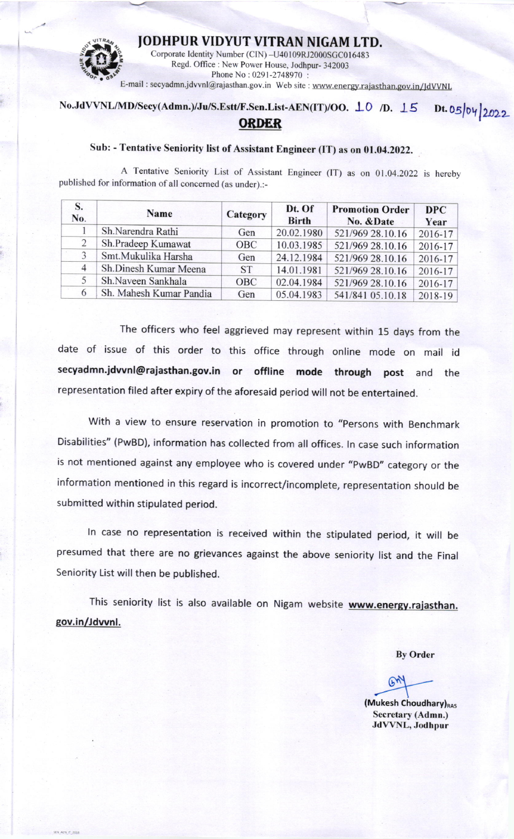

JODHPUR VIDYUT VITRAN NIGAM LTD.<br>Corporate Identity Number (CIN) -U40109RJ2000SGC016483<br>Regd. Office : New Power House, Jodhpur-342003<br>Phone No : 0291-2748970 : E-mail : secyadmn.jdvvnl@rajasthan.gov.in Web site : www.energy.rajasthan.gov.in/JdVVNL

## No.JdVVNL/MD/Secy(Admn.)/Ju/S.Estt/F.Sen.List-AEN(IT)/OO. 10 /D. 15 **ORDER**  $Dt. 05/04/2022$

## Sub: - Tentative Seniority list of Assistant Engineer (IT) as on 01.04.2022.

A Tentative Seniority List of Assistant Engineer (IT) as on 01.04.2022 is hereby published for information of all concerned (as under).:-

| No. | <b>Name</b>             | Category   | Dt. Of<br><b>Birth</b> | <b>Promotion Order</b><br>No. & Date | <b>DPC</b><br>Year |
|-----|-------------------------|------------|------------------------|--------------------------------------|--------------------|
|     | Sh.Narendra Rathi       | Gen        | 20.02.1980             | 521/969 28.10.16                     | $2016 - 17$        |
| 2   | Sh.Pradeep Kumawat      | <b>OBC</b> | 10.03.1985             | 521/969 28.10.16                     | $2016 - 17$        |
| 3   | Smt.Mukulika Harsha     | Gen        | 24.12.1984             | 521/969 28.10.16                     | $2016 - 17$        |
| 4   | Sh.Dinesh Kumar Meena   | <b>ST</b>  | 14.01.1981             | 521/969 28.10.16                     | $2016 - 17$        |
|     | Sh.Naveen Sankhala      | OBC        | 02.04.1984             | 521/969 28.10.16                     | $2016 - 17$        |
| 6   | Sh. Mahesh Kumar Pandia | Gen        | 05.04.1983             | 541/841 05.10.18                     | $2018-19$          |

The officers who feel aggrieved may represent within 15 days from the date of issue of this order to this office through online mode on mail id secyadmn.jdvvnl@rajasthan.gov.in or offline mode through post and the representation filed after expiry of the aforesaid period will not be entertained.

with a view to ensure reservation in promotion to "persons with Benchmark Disabilities" (PwBD), information has collected from all offices. ln case such information is not mentioned against any employee who is covered under "PwBD" category or the information mentioned in this regard is incorrect/incomplete, representation should be submitted within stipulated period.

ln case no representation is received within the stipulated period, it will be presumed that there are no grievances against the above seniority list and the Final Seniority List will then be published.

This seniority list is also available on Nigam website www.energy.rajasthan. sov.in/Jdwnl.

By Order

 $64$  $\overline{a}$ 

(Mukesh Choudhary)<sub>RAS</sub> Secretary (Admn.) JdVVNL, Jodhpur